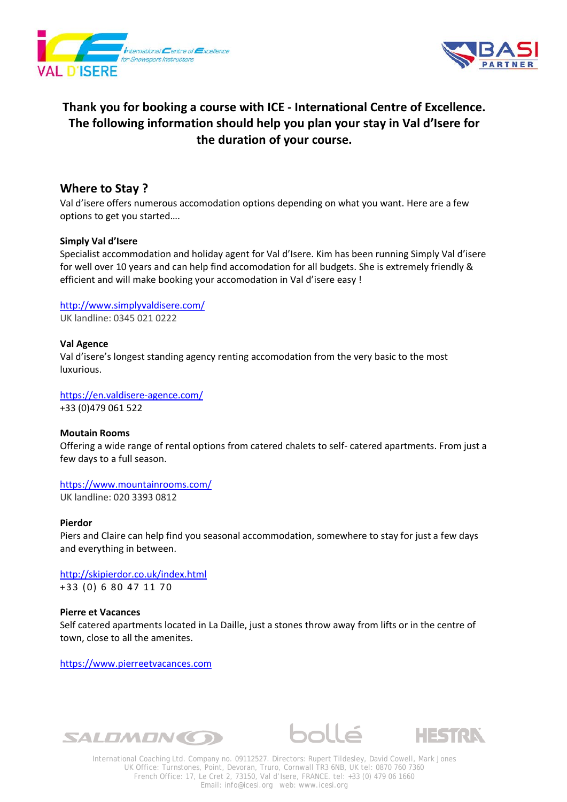



# **Thank you for booking a course with ICE - International Centre of Excellence. The following information should help you plan your stay in Val d'Isere for the duration of your course.**

# **Where to Stay ?**

Val d'isere offers numerous accomodation options depending on what you want. Here are a few options to get you started….

## **Simply Val d'Isere**

Specialist accommodation and holiday agent for Val d'Isere. Kim has been running Simply Val d'isere for well over 10 years and can help find accomodation for all budgets. She is extremely friendly & efficient and will make booking your accomodation in Val d'isere easy !

<http://www.simplyvaldisere.com/> UK landline: 0345 021 0222

## **Val Agence**

Val d'isere's longest standing agency renting accomodation from the very basic to the most luxurious.

<https://en.valdisere-agence.com/> +33 (0)479 061 522

### **Moutain Rooms**

Offering a wide range of rental options from catered chalets to self- catered apartments. From just a few days to a full season.

<https://www.mountainrooms.com/> UK landline: 020 3393 0812

### **Pierdor**

Piers and Claire can help find you seasonal accommodation, somewhere to stay for just a few days and everything in between.

<http://skipierdor.co.uk/index.html> +33 (0) 6 80 47 11 70

### **Pierre et Vacances**

Self catered apartments located in La Daille, just a stones throw away from lifts or in the centre of town, close to all the amenites.

[https://www.pierreetvacances.com](https://www.pierreetvacances.com/)







International Coaching Ltd. Company no. 09112527. Directors: Rupert Tildesley, David Cowell, Mark Jones UK Office: Turnstones, Point, Devoran, Truro, Cornwall TR3 6NB, UK tel: 0870 760 7360 French Office: 17, Le Cret 2, 73150, Val d'Isere, FRANCE. tel: +33 (0) 479 06 1660 Email: info@icesi.org web: www.icesi.org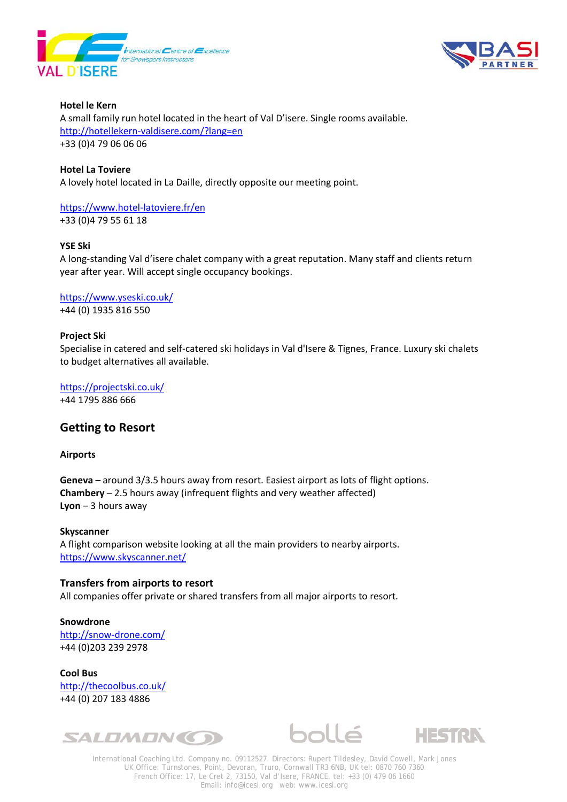



**Hotel le Kern** A small family run hotel located in the heart of Val D'isere. Single rooms available. <http://hotellekern-valdisere.com/?lang=en> +33 (0)4 79 06 06 06

### **Hotel La Toviere**

A lovely hotel located in La Daille, directly opposite our meeting point.

<https://www.hotel-latoviere.fr/en> +33 (0)4 79 55 61 18

#### **YSE Ski**

A long-standing Val d'isere chalet company with a great reputation. Many staff and clients return year after year. Will accept single occupancy bookings.

<https://www.yseski.co.uk/> +44 (0) 1935 816 550

#### **Project Ski**

Specialise in catered and self-catered ski holidays in Val d'Isere & Tignes, France. Luxury ski chalets to budget alternatives all available.

<https://projectski.co.uk/> +44 1795 886 666

# **Getting to Resort**

#### **Airports**

**Geneva** – around 3/3.5 hours away from resort. Easiest airport as lots of flight options. **Chambery** – 2.5 hours away (infrequent flights and very weather affected) **Lyon** – 3 hours away

**Skyscanner** A flight comparison website looking at all the main providers to nearby airports. <https://www.skyscanner.net/>

### **Transfers from airports to resort**

All companies offer private or shared transfers from all major airports to resort.

**Snowdrone** <http://snow-drone.com/> +44 (0)203 239 2978

**Cool Bus**  <http://thecoolbus.co.uk/> +44 (0) 207 183 4886







International Coaching Ltd. Company no. 09112527. Directors: Rupert Tildesley, David Cowell, Mark Jones UK Office: Turnstones, Point, Devoran, Truro, Cornwall TR3 6NB, UK tel: 0870 760 7360 French Office: 17, Le Cret 2, 73150, Val d'Isere, FRANCE. tel: +33 (0) 479 06 1660 Email: info@icesi.org web: www.icesi.org